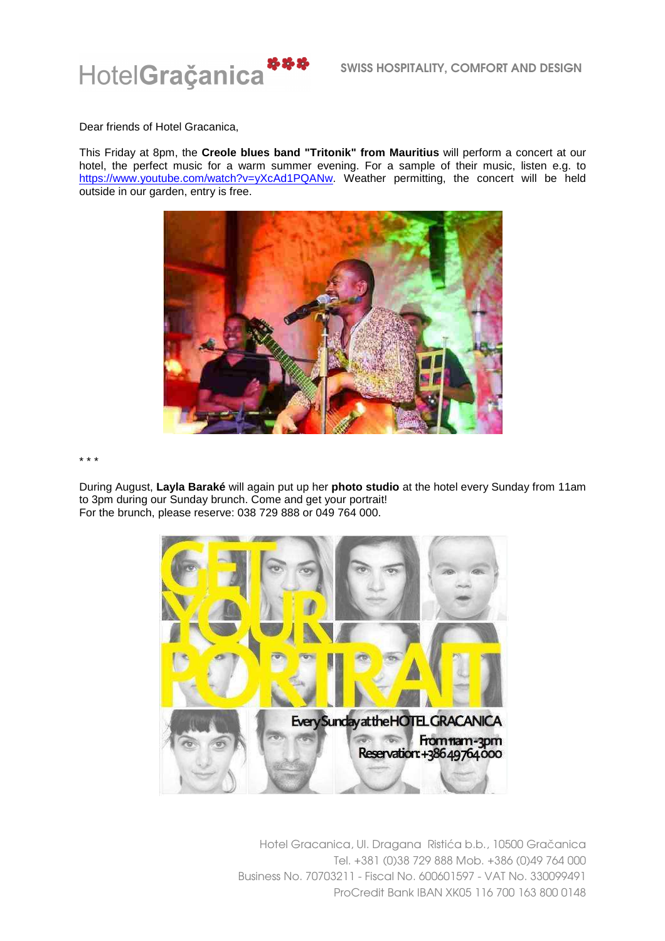

Dear friends of Hotel Gracanica,

This Friday at 8pm, the **Creole blues band "Tritonik" from Mauritius** will perform a concert at our hotel, the perfect music for a warm summer evening. For a sample of their music, listen e.g. to https://www.youtube.com/watch?v=yXcAd1PQANw. Weather permitting, the concert will be held outside in our garden, entry is free.



\* \* \*

During August, **Layla Baraké** will again put up her **photo studio** at the hotel every Sunday from 11am to 3pm during our Sunday brunch. Come and get your portrait! For the brunch, please reserve: 038 729 888 or 049 764 000.



Hotel Gracanica, Ul. Dragana Ristića b.b., 10500 Gračanica Tel. +381 (0)38 729 888 Mob. +386 (0)49 764 000 Business No. 70703211 - Fiscal No. 600601597 - VAT No. 330099491 ProCredit Bank IBAN XK05 116 700 163 800 0148